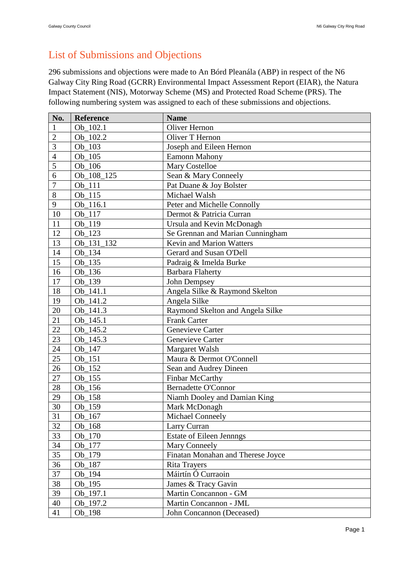## List of Submissions and Objections

296 submissions and objections were made to An Bórd Pleanála (ABP) in respect of the N6 Galway City Ring Road (GCRR) Environmental Impact Assessment Report (EIAR), the Natura Impact Statement (NIS), Motorway Scheme (MS) and Protected Road Scheme (PRS). The following numbering system was assigned to each of these submissions and objections.

| No.<br>Reference<br><b>Name</b> |            |                                   |  |
|---------------------------------|------------|-----------------------------------|--|
|                                 | Ob_102.1   | Oliver Hernon                     |  |
| $\overline{2}$                  | Ob_102.2   | Oliver T Hernon                   |  |
| $\overline{3}$                  | Ob 103     | Joseph and Eileen Hernon          |  |
| $\overline{4}$                  | $Ob_105$   | Eamonn Mahony                     |  |
| 5                               | $Ob_106$   | <b>Mary Costelloe</b>             |  |
| 6                               | Ob_108_125 | Sean & Mary Conneely              |  |
| $\overline{7}$                  | Ob_111     | Pat Duane & Joy Bolster           |  |
| 8                               | Ob 115     | Michael Walsh                     |  |
| 9                               | Ob 116.1   | Peter and Michelle Connolly       |  |
| 10                              | Ob 117     | Dermot & Patricia Curran          |  |
| 11                              | Ob 119     | Ursula and Kevin McDonagh         |  |
| 12                              | Ob 123     | Se Grennan and Marian Cunningham  |  |
| 13                              | Ob_131_132 | <b>Kevin and Marion Watters</b>   |  |
| 14                              | $Ob_134$   | Gerard and Susan O'Dell           |  |
| 15                              | $Ob_135$   | Padraig & Imelda Burke            |  |
| 16                              | Ob_136     | <b>Barbara Flaherty</b>           |  |
| 17                              | Ob_139     | John Dempsey                      |  |
| 18                              | Ob_141.1   | Angela Silke & Raymond Skelton    |  |
| 19                              | Ob_141.2   | Angela Silke                      |  |
| 20                              | Ob_141.3   | Raymond Skelton and Angela Silke  |  |
| 21                              | Ob 145.1   | <b>Frank Carter</b>               |  |
| 22                              | Ob_145.2   | Genevieve Carter                  |  |
| 23                              | Ob 145.3   | Genevieve Carter                  |  |
| 24                              | Ob_147     | Margaret Walsh                    |  |
| 25                              | Ob 151     | Maura & Dermot O'Connell          |  |
| 26                              | Ob_152     | Sean and Audrey Dineen            |  |
| 27                              | $Ob_155$   | Finbar McCarthy                   |  |
| 28                              | Ob_156     | <b>Bernadette O'Connor</b>        |  |
| 29                              | Ob_158     | Niamh Dooley and Damian King      |  |
| 30                              | Ob_159     | Mark McDonagh                     |  |
| 31                              | $Ob_167$   | Michael Conneely                  |  |
| 32                              | $Ob_168$   | Larry Curran                      |  |
| 33                              | $Ob_170$   | <b>Estate of Eileen Jennngs</b>   |  |
| 34                              | Ob_177     | Mary Conneely                     |  |
| 35                              | Ob_179     | Finatan Monahan and Therese Joyce |  |
| 36                              | $Ob_187$   | <b>Rita Trayers</b>               |  |
| 37                              | Ob 194     | Máirtín Ó Curraoin                |  |
| 38                              | Ob_195     | James & Tracy Gavin               |  |
| 39                              | Ob_197.1   | Martin Concannon - GM             |  |
| 40                              | Ob_197.2   | Martin Concannon - JML            |  |
| 41                              | Ob_198     | John Concannon (Deceased)         |  |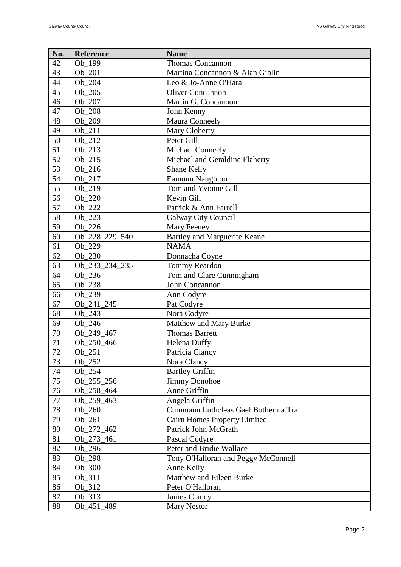| No.    | Reference      | <b>Name</b>                          |  |
|--------|----------------|--------------------------------------|--|
| 42     | Ob 199         | <b>Thomas Concannon</b>              |  |
| 43     | Ob_201         | Martina Concannon & Alan Giblin      |  |
| 44     | Ob 204         | Leo & Jo-Anne O'Hara                 |  |
| 45     | Ob 205         | <b>Oliver Concannon</b>              |  |
| 46     | Ob 207         | Martin G. Concannon                  |  |
| 47     | Ob_208         | John Kenny                           |  |
| 48     | Ob_209         | Maura Conneely                       |  |
| 49     | Ob 211         | Mary Cloherty                        |  |
| 50     | Ob_212         | Peter Gill                           |  |
| 51     | Ob_213         | Michael Conneely                     |  |
| 52     | Ob_215         | Michael and Geraldine Flaherty       |  |
| 53     | $Ob_216$       | Shane Kelly                          |  |
| 54     | Ob 217         | <b>Eamonn Naughton</b>               |  |
| 55     | Ob_219         | Tom and Yvonne Gill                  |  |
| 56     | Ob_220         | Kevin Gill                           |  |
| 57     | Ob 222         | Patrick & Ann Farrell                |  |
| 58     | Ob_223         | Galway City Council                  |  |
| 59     | Ob_226         | Mary Feeney                          |  |
| 60     | Ob_228_229_540 | Bartley and Marguerite Keane         |  |
| 61     | Ob_229         | <b>NAMA</b>                          |  |
| 62     | Ob 230         | Donnacha Coyne                       |  |
| 63     | Ob_233_234_235 | Tommy Reardon                        |  |
| 64     | Ob_236         | Tom and Clare Cunningham             |  |
| 65     | Ob_238         | John Concannon                       |  |
| 66     | Ob_239         | Ann Codyre                           |  |
| 67     | Ob_241_245     | Pat Codyre                           |  |
| 68     | Ob_243         | Nora Codyre                          |  |
| 69     | Ob_246         | Matthew and Mary Burke               |  |
| 70     | Ob 249 467     | <b>Thomas Barrett</b>                |  |
| 71     | Ob_250_466     | <b>Helena Duffy</b>                  |  |
| 72     | $Ob_2 51$      | Patricia Clancy                      |  |
| 73     | Ob 252         | Nora Clancy                          |  |
| 74     | Ob_254         | <b>Bartley Griffin</b>               |  |
| 75     | Ob_255_256     | <b>Jimmy Donohoe</b>                 |  |
| 76     | Ob_258_464     | Anne Griffin                         |  |
| $77\,$ | Ob 259 463     | Angela Griffin                       |  |
| 78     | Ob 260         | Cummann Luthcleas Gael Bother na Tra |  |
| 79     | Ob 261         | <b>Cairn Homes Property Limited</b>  |  |
| 80     | Ob_272_462     | Patrick John McGrath                 |  |
| 81     | Ob 273 461     | Pascal Codyre                        |  |
| 82     | Ob_296         | Peter and Bridie Wallace             |  |
| 83     | Ob_298         | Tony O'Halloran and Peggy McConnell  |  |
| 84     | Ob_300         | Anne Kelly                           |  |
| 85     | Ob_311         | Matthew and Eileen Burke             |  |
| 86     | Ob_312         | Peter O'Halloran                     |  |
| 87     | Ob_313         | James Clancy                         |  |
| 88     | Ob_451_489     | <b>Mary Nestor</b>                   |  |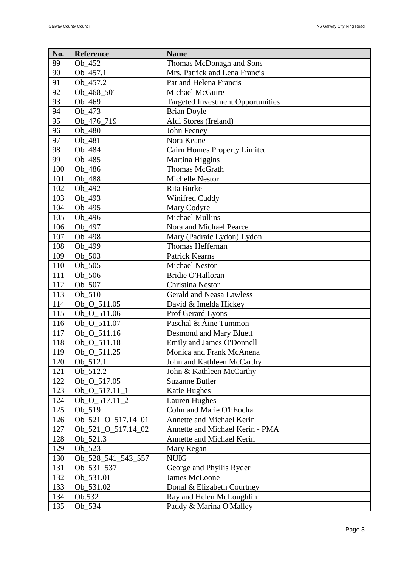| No. | Reference                   | <b>Name</b>                              |  |
|-----|-----------------------------|------------------------------------------|--|
| 89  | Ob 452                      | Thomas McDonagh and Sons                 |  |
| 90  | Ob_457.1                    | Mrs. Patrick and Lena Francis            |  |
| 91  | Ob_457.2                    | Pat and Helena Francis                   |  |
| 92  | Ob_468_501                  | Michael McGuire                          |  |
| 93  | Ob 469                      | <b>Targeted Investment Opportunities</b> |  |
| 94  | Ob_473                      | <b>Brian Doyle</b>                       |  |
| 95  | Ob_476_719                  | Aldi Stores (Ireland)                    |  |
| 96  | Ob_480                      | John Feeney                              |  |
| 97  | Ob 481                      | Nora Keane                               |  |
| 98  | Ob_484                      | Cairn Homes Property Limited             |  |
| 99  | Ob_485                      | Martina Higgins                          |  |
| 100 | Ob_486                      | Thomas McGrath                           |  |
| 101 | Ob_488                      | Michelle Nestor                          |  |
| 102 | Ob_492                      | Rita Burke                               |  |
| 103 | Ob_493                      | Winifred Cuddy                           |  |
| 104 | Ob_495                      | Mary Codyre                              |  |
| 105 | Ob_496                      | <b>Michael Mullins</b>                   |  |
| 106 | Ob 497                      | Nora and Michael Pearce                  |  |
| 107 | Ob 498                      | Mary (Padraic Lydon) Lydon               |  |
| 108 | Ob_499                      | Thomas Heffernan                         |  |
| 109 | Ob_503                      | Patrick Kearns                           |  |
| 110 | Ob_505                      | <b>Michael Nestor</b>                    |  |
| 111 | $Ob_506$                    | Bridie O'Halloran                        |  |
| 112 | Ob_507                      | Christina Nestor                         |  |
| 113 | $Ob_510$                    | <b>Gerald and Neasa Lawless</b>          |  |
| 114 | Ob_O_511.05                 | David & Imelda Hickey                    |  |
| 115 | Ob_O_511.06                 | Prof Gerard Lyons                        |  |
| 116 | Ob_O_511.07                 | Paschal & Áine Tummon                    |  |
| 117 | Ob_O_511.16                 | <b>Desmond and Mary Bluett</b>           |  |
| 118 | Ob_O_511.18                 | Emily and James O'Donnell                |  |
| 119 | $\overline{Ob}_0$ _0_511.25 | Monica and Frank McAnena                 |  |
| 120 | Ob_512.1                    | John and Kathleen McCarthy               |  |
| 121 | Ob_512.2                    | John & Kathleen McCarthy                 |  |
| 122 | Ob O 517.05                 | <b>Suzanne Butler</b>                    |  |
| 123 | Ob_O_517.11_1               | Katie Hughes                             |  |
| 124 | Ob_O_517.11_2               | Lauren Hughes                            |  |
| 125 | Ob_519                      | Colm and Marie O'hEocha                  |  |
| 126 | Ob_521_O_517.14_01          | <b>Annette and Michael Kerin</b>         |  |
| 127 | Ob_521_O_517.14_02          | Annette and Michael Kerin - PMA          |  |
| 128 | Ob_521.3                    | Annette and Michael Kerin                |  |
| 129 | Ob_523                      | Mary Regan                               |  |
| 130 | Ob_528_541_543_557          | <b>NUIG</b>                              |  |
| 131 | Ob_531_537                  | George and Phyllis Ryder                 |  |
| 132 | Ob_531.01                   | James McLoone                            |  |
| 133 | Ob_531.02                   | Donal & Elizabeth Courtney               |  |
| 134 | Ob.532                      | Ray and Helen McLoughlin                 |  |
| 135 | $Ob_534$                    | Paddy & Marina O'Malley                  |  |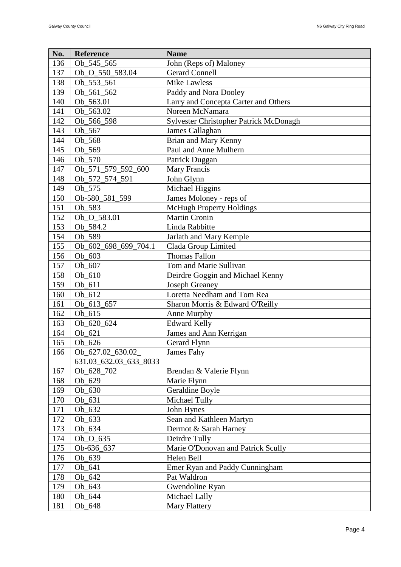| No. | Reference              | <b>Name</b>                            |  |
|-----|------------------------|----------------------------------------|--|
| 136 | Ob_545_565             | John (Reps of) Maloney                 |  |
| 137 | Ob_O_550_583.04        | <b>Gerard Connell</b>                  |  |
| 138 | Ob_553_561             | <b>Mike Lawless</b>                    |  |
| 139 | Ob_561_562             | Paddy and Nora Dooley                  |  |
| 140 | Ob_563.01              | Larry and Concepta Carter and Others   |  |
| 141 | Ob_563.02              | Noreen McNamara                        |  |
| 142 | Ob_566_598             | Sylvester Christopher Patrick McDonagh |  |
| 143 | Ob_567                 | James Callaghan                        |  |
| 144 | Ob_568                 | Brian and Mary Kenny                   |  |
| 145 | Ob_569                 | Paul and Anne Mulhern                  |  |
| 146 | Ob_570                 | Patrick Duggan                         |  |
| 147 | Ob_571_579_592_600     | Mary Francis                           |  |
| 148 | Ob_572_574_591         | John Glynn                             |  |
| 149 | Ob_575                 | Michael Higgins                        |  |
| 150 | Ob-580_581_599         | James Moloney - reps of                |  |
| 151 | Ob_583                 | <b>McHugh Property Holdings</b>        |  |
| 152 | Ob_O_583.01            | <b>Martin Cronin</b>                   |  |
| 153 | Ob_584.2               | Linda Rabbitte                         |  |
| 154 | Ob_589                 | Jarlath and Mary Kemple                |  |
| 155 | Ob_602_698_699_704.1   | Clada Group Limited                    |  |
| 156 | Ob 603                 | <b>Thomas Fallon</b>                   |  |
| 157 | Ob_607                 | Tom and Marie Sullivan                 |  |
| 158 | $Ob_610$               | Deirdre Goggin and Michael Kenny       |  |
| 159 | Ob_611                 | <b>Joseph Greaney</b>                  |  |
| 160 | Ob_612                 | Loretta Needham and Tom Rea            |  |
| 161 | Ob_613_657             | Sharon Morris & Edward O'Reilly        |  |
| 162 | Ob 615                 | Anne Murphy                            |  |
| 163 | Ob 620 624             | <b>Edward Kelly</b>                    |  |
| 164 | Ob 621                 | James and Ann Kerrigan                 |  |
| 165 | Ob_626                 | Gerard Flynn                           |  |
| 166 | Ob_627.02_630.02_      | James Fahy                             |  |
|     | 631.03_632.03_633_8033 |                                        |  |
| 167 | Ob_628_702             | Brendan & Valerie Flynn                |  |
| 168 | Ob 629                 | Marie Flynn                            |  |
| 169 | $Ob_630$               | Geraldine Boyle                        |  |
| 170 | Ob_631                 | Michael Tully                          |  |
| 171 | Ob_632                 | John Hynes                             |  |
| 172 | Ob_633                 | Sean and Kathleen Martyn               |  |
| 173 | Ob_634                 | Dermot & Sarah Harney                  |  |
| 174 | $Ob_0$ 635             | Deirdre Tully                          |  |
| 175 | Ob-636_637             | Marie O'Donovan and Patrick Scully     |  |
| 176 | Ob 639                 | Helen Bell                             |  |
| 177 | $Ob_641$               | Emer Ryan and Paddy Cunningham         |  |
| 178 | Ob_642                 | Pat Waldron                            |  |
| 179 | Ob_643                 | Gwendoline Ryan                        |  |
| 180 | Ob_644                 | Michael Lally                          |  |
| 181 | Ob_648                 | Mary Flattery                          |  |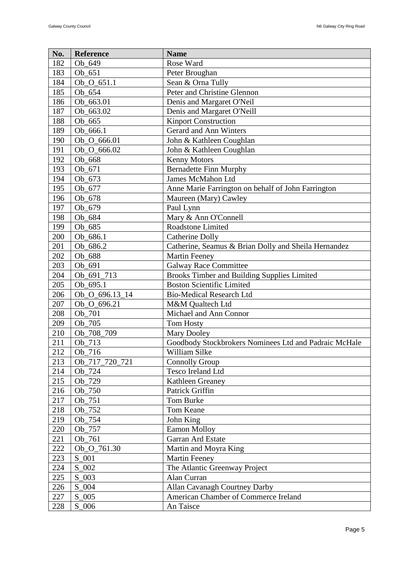| No.                             | Reference<br><b>Name</b>                   |                                                       |  |
|---------------------------------|--------------------------------------------|-------------------------------------------------------|--|
| 182                             | Ob_649                                     | Rose Ward                                             |  |
| 183                             | Ob 651                                     | Peter Broughan                                        |  |
| 184                             | Ob_O_651.1                                 | Sean & Orna Tully                                     |  |
| 185                             | Ob 654                                     | Peter and Christine Glennon                           |  |
| 186                             | Ob_663.01                                  | Denis and Margaret O'Neil                             |  |
| 187                             | Ob_663.02                                  | Denis and Margaret O'Neill                            |  |
| 188                             | Ob_665                                     | <b>Kinport Construction</b>                           |  |
| 189                             | Ob_666.1                                   | Gerard and Ann Winters                                |  |
| 190                             | Ob_O_666.01                                | John & Kathleen Coughlan                              |  |
| 191                             | Ob_O_666.02                                | John & Kathleen Coughlan                              |  |
| 192                             | Ob_668                                     | <b>Kenny Motors</b>                                   |  |
| 193                             | Ob_671                                     | <b>Bernadette Finn Murphy</b>                         |  |
| 194                             | $Ob_673$                                   | <b>James McMahon Ltd</b>                              |  |
| 195                             | Ob_677                                     | Anne Marie Farrington on behalf of John Farrington    |  |
| 196                             | Ob_678                                     | Maureen (Mary) Cawley                                 |  |
| 197                             | Ob_679                                     | Paul Lynn                                             |  |
| 198                             | Ob_684                                     | Mary & Ann O'Connell                                  |  |
| 199                             | Ob_685                                     | Roadstone Limited                                     |  |
| 200                             | Ob_686.1                                   | <b>Catherine Dolly</b>                                |  |
| 201                             | Ob_686.2                                   | Catherine, Seamus & Brian Dolly and Sheila Hernandez  |  |
| 202                             | Ob_688                                     | <b>Martin Feeney</b>                                  |  |
| 203                             | Ob_691                                     | <b>Galway Race Committee</b>                          |  |
| 204                             | Ob_691_713                                 | Brooks Timber and Building Supplies Limited           |  |
| 205                             | Ob 695.1                                   | <b>Boston Scientific Limited</b>                      |  |
| 206                             | Ob_O_696.13_14                             | <b>Bio-Medical Research Ltd</b>                       |  |
| 207                             | Ob_O_696.21                                | M&M Qualtech Ltd                                      |  |
| 208                             | Ob_701                                     | Michael and Ann Connor                                |  |
| 209                             | Ob_705                                     | <b>Tom Hosty</b>                                      |  |
| 210                             | Ob_708_709                                 | Mary Dooley                                           |  |
| 211                             | Ob_713                                     | Goodbody Stockbrokers Nominees Ltd and Padraic McHale |  |
| 212                             | Ob_716                                     | William Silke                                         |  |
| 213                             | Ob_717_720_721                             | <b>Connolly Group</b>                                 |  |
| 214                             | Ob_724                                     | Tesco Ireland Ltd                                     |  |
| 215                             | Ob_729                                     | Kathleen Greaney                                      |  |
| 216                             | Ob_750                                     | Patrick Griffin                                       |  |
| 217                             | Ob_751                                     | Tom Burke                                             |  |
| 218                             | Ob_752                                     | Tom Keane                                             |  |
| 219                             | Ob_754                                     | John King                                             |  |
| 220                             | Ob_757                                     | <b>Eamon Molloy</b>                                   |  |
| 221                             | Ob_761                                     | Garran Ard Estate                                     |  |
| 222                             | Ob_O_761.30                                | Martin and Moyra King                                 |  |
| 223                             | $S_0$ 001                                  | <b>Martin Feeney</b>                                  |  |
| 224                             | $S_0$ 002<br>The Atlantic Greenway Project |                                                       |  |
| 225<br>$S_0$ 003<br>Alan Curran |                                            |                                                       |  |
| 226                             | $S_0$ 004<br>Allan Cavanagh Courtney Darby |                                                       |  |
| 227                             | $S_0$ 005                                  | American Chamber of Commerce Ireland                  |  |
| 228                             | $S_0$ 006                                  | An Taisce                                             |  |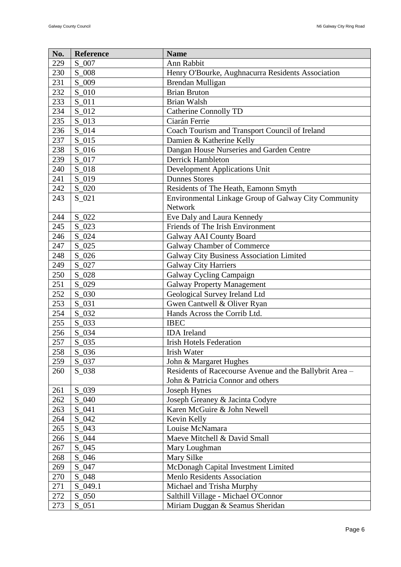| No. | Reference | <b>Name</b>                                             |  |
|-----|-----------|---------------------------------------------------------|--|
| 229 | $S_0$ 007 | Ann Rabbit                                              |  |
| 230 | S 008     | Henry O'Bourke, Aughnacurra Residents Association       |  |
| 231 | $S_0$ 009 | Brendan Mulligan                                        |  |
| 232 | $S_0$ 10  | <b>Brian Bruton</b>                                     |  |
| 233 | $S_0$ 11  | <b>Brian Walsh</b>                                      |  |
| 234 | $S_012$   | <b>Catherine Connolly TD</b>                            |  |
| 235 | $S_013$   | Ciarán Ferrie                                           |  |
| 236 | $S_0$ 14  | Coach Tourism and Transport Council of Ireland          |  |
| 237 | $S_0$ 15  | Damien & Katherine Kelly                                |  |
| 238 | $S_016$   | Dangan House Nurseries and Garden Centre                |  |
| 239 | $S_017$   | <b>Derrick Hambleton</b>                                |  |
| 240 | $S_018$   | <b>Development Applications Unit</b>                    |  |
| 241 | S_019     | <b>Dunnes Stores</b>                                    |  |
| 242 | $S_020$   | Residents of The Heath, Eamonn Smyth                    |  |
| 243 | $S_021$   | Environmental Linkage Group of Galway City Community    |  |
|     |           | Network                                                 |  |
| 244 | $S_022$   | Eve Daly and Laura Kennedy                              |  |
| 245 | $S_023$   | Friends of The Irish Environment                        |  |
| 246 | $S_024$   | Galway AAI County Board                                 |  |
| 247 | $S_025$   | Galway Chamber of Commerce                              |  |
| 248 | $S_026$   | Galway City Business Association Limited                |  |
| 249 | $S_027$   | <b>Galway City Harriers</b>                             |  |
| 250 | $S_028$   | Galway Cycling Campaign                                 |  |
| 251 | $S_029$   | <b>Galway Property Management</b>                       |  |
| 252 | $S_0$ 030 | Geological Survey Ireland Ltd                           |  |
| 253 | $S_0$ 031 | Gwen Cantwell & Oliver Ryan                             |  |
| 254 | $S_032$   | Hands Across the Corrib Ltd.                            |  |
| 255 | $S_033$   | <b>IBEC</b>                                             |  |
| 256 | $S_034$   | <b>IDA</b> Ireland                                      |  |
| 257 | $S_035$   | <b>Irish Hotels Federation</b>                          |  |
| 258 | $S_036$   | <b>Irish Water</b>                                      |  |
| 259 | $S_037$   | John & Margaret Hughes                                  |  |
| 260 | $S_0$ 038 | Residents of Racecourse Avenue and the Ballybrit Area - |  |
|     |           | John & Patricia Connor and others                       |  |
| 261 | S_039     | Joseph Hynes                                            |  |
| 262 | $S_0$ 040 | Joseph Greaney & Jacinta Codyre                         |  |
| 263 | $S_0$ 041 | Karen McGuire & John Newell                             |  |
| 264 | $S_042$   | Kevin Kelly                                             |  |
| 265 | $S_0$ 043 | Louise McNamara                                         |  |
| 266 | $S_044$   | Maeve Mitchell & David Small                            |  |
| 267 | $S_0$ 045 | Mary Loughman                                           |  |
| 268 | $S_0$ 046 | Mary Silke                                              |  |
| 269 | $S_047$   | McDonagh Capital Investment Limited                     |  |
| 270 | S_048     | Menlo Residents Association                             |  |
| 271 | $S_049.1$ | Michael and Trisha Murphy                               |  |
| 272 | $S_0$ 050 | Salthill Village - Michael O'Connor                     |  |
| 273 | $S_051$   | Miriam Duggan & Seamus Sheridan                         |  |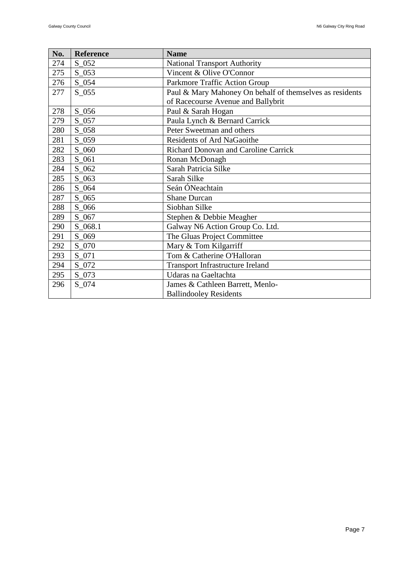| No. | Reference | <b>Name</b>                                              |  |
|-----|-----------|----------------------------------------------------------|--|
| 274 | $S_052$   | <b>National Transport Authority</b>                      |  |
| 275 | $S_0$ 053 | Vincent & Olive O'Connor                                 |  |
| 276 | $S_054$   | Parkmore Traffic Action Group                            |  |
| 277 | $S_0$ 055 | Paul & Mary Mahoney On behalf of themselves as residents |  |
|     |           | of Racecourse Avenue and Ballybrit                       |  |
| 278 | $S_0$ 56  | Paul & Sarah Hogan                                       |  |
| 279 | $S_057$   | Paula Lynch & Bernard Carrick                            |  |
| 280 | $S_0$ 058 | Peter Sweetman and others                                |  |
| 281 | $S_059$   | Residents of Ard NaGaoithe                               |  |
| 282 | $S_0$ 060 | Richard Donovan and Caroline Carrick                     |  |
| 283 | S_061     | Ronan McDonagh                                           |  |
| 284 | $S_0$ 062 | Sarah Patricia Silke                                     |  |
| 285 | $S_0$ 063 | Sarah Silke                                              |  |
| 286 | $S_0$ 64  | Seán ÓNeachtain                                          |  |
| 287 | $S_0$ 065 | <b>Shane Durcan</b>                                      |  |
| 288 | $S_0$ 066 | Siobhan Silke                                            |  |
| 289 | $S_0$ 067 | Stephen & Debbie Meagher                                 |  |
| 290 | $S_068.1$ | Galway N6 Action Group Co. Ltd.                          |  |
| 291 | $S_0$ 069 | The Gluas Project Committee                              |  |
| 292 | S_070     | Mary & Tom Kilgarriff                                    |  |
| 293 | S_071     | Tom & Catherine O'Halloran                               |  |
| 294 | $S_0$ 072 | <b>Transport Infrastructure Ireland</b>                  |  |
| 295 | $S_0$ 073 | Udaras na Gaeltachta                                     |  |
| 296 | S_074     | James & Cathleen Barrett, Menlo-                         |  |
|     |           | <b>Ballindooley Residents</b>                            |  |